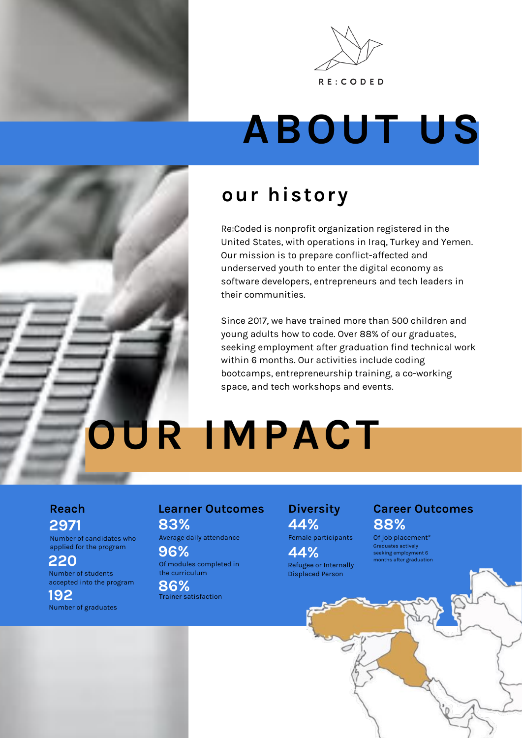



# **ABOUT US**

# **our history**

Re:Coded is nonprofit organization registered in the United States, with operations in Iraq, Turkey and Yemen. Our mission is to prepare conflict-affected and underserved youth to enter the digital economy as software developers, entrepreneurs and tech leaders in their communities.

Since 2017, we have trained more than 500 children and young adults how to code. Over 88% of our graduates, seeking employment after graduation find technical work within 6 months. Our activities include coding bootcamps, entrepreneurship training, a co-working space, and tech workshops and events.

**OUR IMPACT**

### **Reach 2971**

Number of candidates who applied for the program

Number of students accepted into the program **220**

Number of graduates **192**

#### **Learner Outcomes 83%**

Average daily attendance

**96%**

Of modules completed in the curriculum

Trainer satisfaction **86%**

### **Diversity 44%**

Female participants

Refugee or Internally Displaced Person **44%**

# **Career Outcomes 88%**

Of job placement\* Graduates actively seeking employment 6 months after graduation